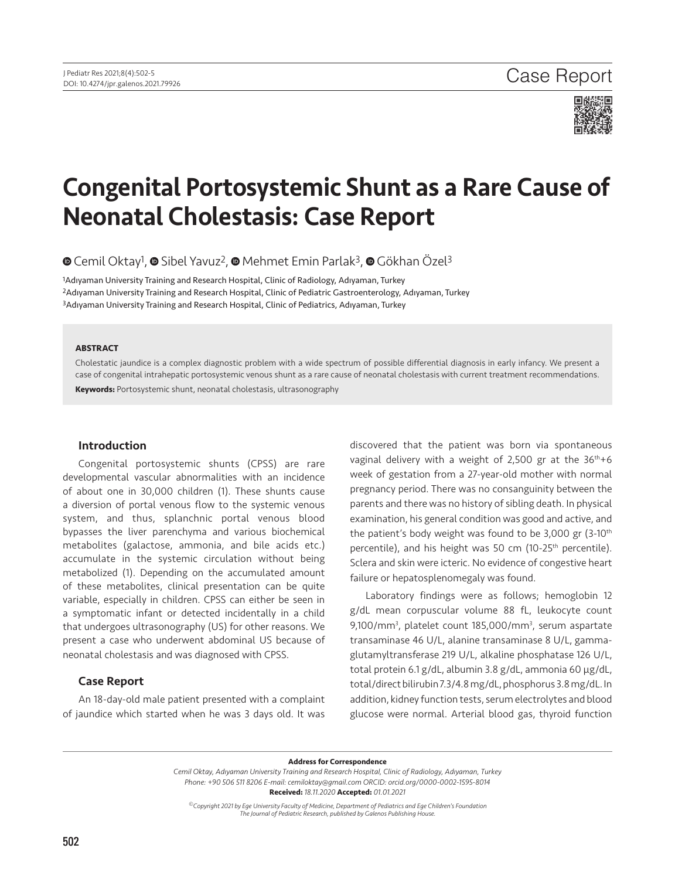

# Congenital Portosystemic Shunt as a Rare Cause of Neonatal Cholestasis: Case Report

**©**Cemil Oktay<sup>1</sup>, © Sibel Yavuz<sup>2</sup>, © Mehmet Emin Parlak<sup>3</sup>, © Gökhan Özel<sup>3</sup>

1Adıyaman University Training and Research Hospital, Clinic of Radiology, Adıyaman, Turkey 2Adıyaman University Training and Research Hospital, Clinic of Pediatric Gastroenterology, Adıyaman, Turkey 3Adıyaman University Training and Research Hospital, Clinic of Pediatrics, Adıyaman, Turkey

#### **ABSTRACT**

Cholestatic jaundice is a complex diagnostic problem with a wide spectrum of possible differential diagnosis in early infancy. We present a case of congenital intrahepatic portosystemic venous shunt as a rare cause of neonatal cholestasis with current treatment recommendations.

**Keywords:** Portosystemic shunt, neonatal cholestasis, ultrasonography

## Introduction

Congenital portosystemic shunts (CPSS) are rare developmental vascular abnormalities with an incidence of about one in 30,000 children (1). These shunts cause a diversion of portal venous flow to the systemic venous system, and thus, splanchnic portal venous blood bypasses the liver parenchyma and various biochemical metabolites (galactose, ammonia, and bile acids etc.) accumulate in the systemic circulation without being metabolized (1). Depending on the accumulated amount of these metabolites, clinical presentation can be quite variable, especially in children. CPSS can either be seen in a symptomatic infant or detected incidentally in a child that undergoes ultrasonography (US) for other reasons. We present a case who underwent abdominal US because of neonatal cholestasis and was diagnosed with CPSS.

## Case Report

An 18-day-old male patient presented with a complaint of jaundice which started when he was 3 days old. It was discovered that the patient was born via spontaneous vaginal delivery with a weight of 2,500 gr at the  $36<sup>th</sup>+6$ week of gestation from a 27-year-old mother with normal pregnancy period. There was no consanguinity between the parents and there was no history of sibling death. In physical examination, his general condition was good and active, and the patient's body weight was found to be 3,000 gr (3-10th percentile), and his height was 50 cm (10-25<sup>th</sup> percentile). Sclera and skin were icteric. No evidence of congestive heart failure or hepatosplenomegaly was found.

Laboratory findings were as follows; hemoglobin 12 g/dL mean corpuscular volume 88 fL, leukocyte count 9,100/mm<sup>3</sup>, platelet count 185,000/mm<sup>3</sup>, serum aspartate transaminase 46 U/L, alanine transaminase 8 U/L, gammaglutamyltransferase 219 U/L, alkaline phosphatase 126 U/L, total protein 6.1 g/dL, albumin 3.8 g/dL, ammonia 60 µg/dL, total/direct bilirubin 7.3/4.8 mg/dL, phosphorus 3.8 mg/dL. In addition, kidney function tests, serum electrolytes and blood glucose were normal. Arterial blood gas, thyroid function

**Address for Correspondence**

*Cemil Oktay, Adıyaman University Training and Research Hospital, Clinic of Radiology, Adıyaman, Turkey Phone: +90 506 511 8206 E-mail: cemiloktay@gmail.com ORCID: orcid.org/0000-0002-1595-8014* **Received:** *18.11.2020* **Accepted:** *01.01.2021*

*©Copyright 2021 by Ege University Faculty of Medicine, Department of Pediatrics and Ege Children's Foundation The Journal of Pediatric Research, published by Galenos Publishing House.*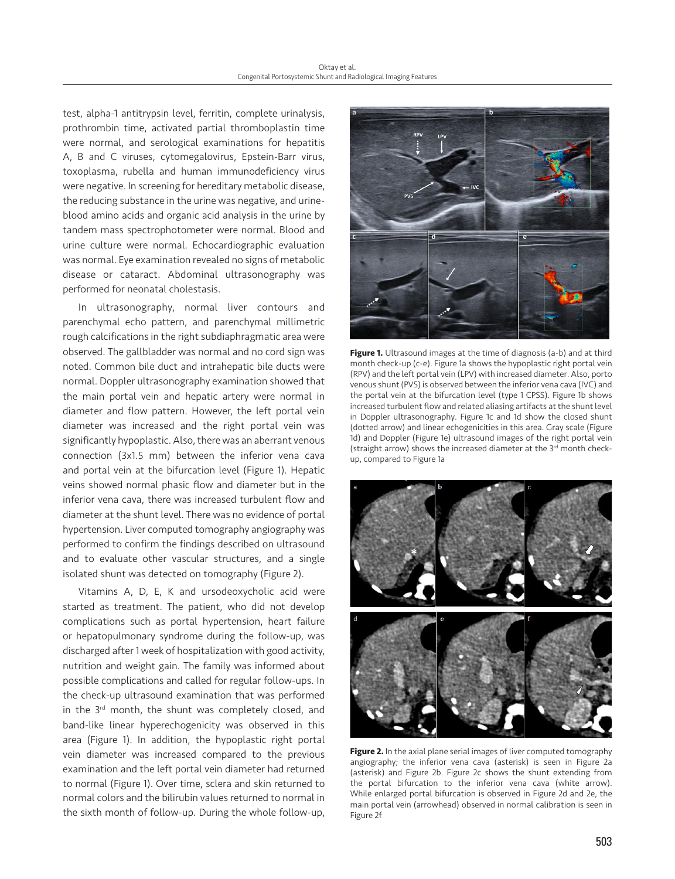test, alpha-1 antitrypsin level, ferritin, complete urinalysis, prothrombin time, activated partial thromboplastin time were normal, and serological examinations for hepatitis A, B and C viruses, cytomegalovirus, Epstein-Barr virus, toxoplasma, rubella and human immunodeficiency virus were negative. In screening for hereditary metabolic disease, the reducing substance in the urine was negative, and urineblood amino acids and organic acid analysis in the urine by tandem mass spectrophotometer were normal. Blood and urine culture were normal. Echocardiographic evaluation was normal. Eye examination revealed no signs of metabolic disease or cataract. Abdominal ultrasonography was performed for neonatal cholestasis.

In ultrasonography, normal liver contours and parenchymal echo pattern, and parenchymal millimetric rough calcifications in the right subdiaphragmatic area were observed. The gallbladder was normal and no cord sign was noted. Common bile duct and intrahepatic bile ducts were normal. Doppler ultrasonography examination showed that the main portal vein and hepatic artery were normal in diameter and flow pattern. However, the left portal vein diameter was increased and the right portal vein was significantly hypoplastic. Also, there was an aberrant venous connection (3x1.5 mm) between the inferior vena cava and portal vein at the bifurcation level (Figure 1). Hepatic veins showed normal phasic flow and diameter but in the inferior vena cava, there was increased turbulent flow and diameter at the shunt level. There was no evidence of portal hypertension. Liver computed tomography angiography was performed to confirm the findings described on ultrasound and to evaluate other vascular structures, and a single isolated shunt was detected on tomography (Figure 2).

Vitamins A, D, E, K and ursodeoxycholic acid were started as treatment. The patient, who did not develop complications such as portal hypertension, heart failure or hepatopulmonary syndrome during the follow-up, was discharged after 1 week of hospitalization with good activity, nutrition and weight gain. The family was informed about possible complications and called for regular follow-ups. In the check-up ultrasound examination that was performed in the 3<sup>rd</sup> month, the shunt was completely closed, and band-like linear hyperechogenicity was observed in this area (Figure 1). In addition, the hypoplastic right portal vein diameter was increased compared to the previous examination and the left portal vein diameter had returned to normal (Figure 1). Over time, sclera and skin returned to normal colors and the bilirubin values returned to normal in the sixth month of follow-up. During the whole follow-up,



Figure 1. Ultrasound images at the time of diagnosis (a-b) and at third month check-up (c-e). Figure 1a shows the hypoplastic right portal vein (RPV) and the left portal vein (LPV) with increased diameter. Also, porto venous shunt (PVS) is observed between the inferior vena cava (IVC) and the portal vein at the bifurcation level (type 1 CPSS). Figure 1b shows increased turbulent flow and related aliasing artifacts at the shunt level in Doppler ultrasonography. Figure 1c and 1d show the closed shunt (dotted arrow) and linear echogenicities in this area. Gray scale (Figure 1d) and Doppler (Figure 1e) ultrasound images of the right portal vein (straight arrow) shows the increased diameter at the 3<sup>rd</sup> month checkup, compared to Figure 1a



**Figure 2.** In the axial plane serial images of liver computed tomography angiography; the inferior vena cava (asterisk) is seen in Figure 2a (asterisk) and Figure 2b. Figure 2c shows the shunt extending from the portal bifurcation to the inferior vena cava (white arrow). While enlarged portal bifurcation is observed in Figure 2d and 2e, the main portal vein (arrowhead) observed in normal calibration is seen in Figure 2f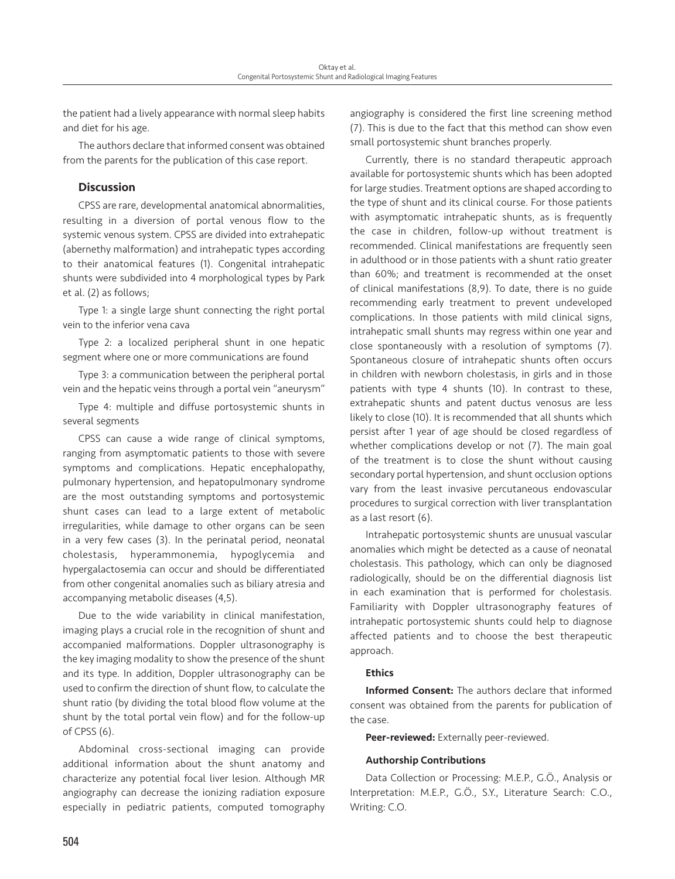the patient had a lively appearance with normal sleep habits and diet for his age.

The authors declare that informed consent was obtained from the parents for the publication of this case report.

# **Discussion**

CPSS are rare, developmental anatomical abnormalities, resulting in a diversion of portal venous flow to the systemic venous system. CPSS are divided into extrahepatic (abernethy malformation) and intrahepatic types according to their anatomical features (1). Congenital intrahepatic shunts were subdivided into 4 morphological types by Park et al. (2) as follows;

Type 1: a single large shunt connecting the right portal vein to the inferior vena cava

Type 2: a localized peripheral shunt in one hepatic segment where one or more communications are found

Type 3: a communication between the peripheral portal vein and the hepatic veins through a portal vein "aneurysm"

Type 4: multiple and diffuse portosystemic shunts in several segments

CPSS can cause a wide range of clinical symptoms, ranging from asymptomatic patients to those with severe symptoms and complications. Hepatic encephalopathy, pulmonary hypertension, and hepatopulmonary syndrome are the most outstanding symptoms and portosystemic shunt cases can lead to a large extent of metabolic irregularities, while damage to other organs can be seen in a very few cases (3). In the perinatal period, neonatal cholestasis, hyperammonemia, hypoglycemia and hypergalactosemia can occur and should be differentiated from other congenital anomalies such as biliary atresia and accompanying metabolic diseases (4,5).

Due to the wide variability in clinical manifestation, imaging plays a crucial role in the recognition of shunt and accompanied malformations. Doppler ultrasonography is the key imaging modality to show the presence of the shunt and its type. In addition, Doppler ultrasonography can be used to confirm the direction of shunt flow, to calculate the shunt ratio (by dividing the total blood flow volume at the shunt by the total portal vein flow) and for the follow-up of CPSS (6).

Abdominal cross-sectional imaging can provide additional information about the shunt anatomy and characterize any potential focal liver lesion. Although MR angiography can decrease the ionizing radiation exposure especially in pediatric patients, computed tomography angiography is considered the first line screening method (7). This is due to the fact that this method can show even small portosystemic shunt branches properly.

Currently, there is no standard therapeutic approach available for portosystemic shunts which has been adopted for large studies. Treatment options are shaped according to the type of shunt and its clinical course. For those patients with asymptomatic intrahepatic shunts, as is frequently the case in children, follow-up without treatment is recommended. Clinical manifestations are frequently seen in adulthood or in those patients with a shunt ratio greater than 60%; and treatment is recommended at the onset of clinical manifestations (8,9). To date, there is no guide recommending early treatment to prevent undeveloped complications. In those patients with mild clinical signs, intrahepatic small shunts may regress within one year and close spontaneously with a resolution of symptoms (7). Spontaneous closure of intrahepatic shunts often occurs in children with newborn cholestasis, in girls and in those patients with type 4 shunts (10). In contrast to these, extrahepatic shunts and patent ductus venosus are less likely to close (10). It is recommended that all shunts which persist after 1 year of age should be closed regardless of whether complications develop or not (7). The main goal of the treatment is to close the shunt without causing secondary portal hypertension, and shunt occlusion options vary from the least invasive percutaneous endovascular procedures to surgical correction with liver transplantation as a last resort (6).

Intrahepatic portosystemic shunts are unusual vascular anomalies which might be detected as a cause of neonatal cholestasis. This pathology, which can only be diagnosed radiologically, should be on the differential diagnosis list in each examination that is performed for cholestasis. Familiarity with Doppler ultrasonography features of intrahepatic portosystemic shunts could help to diagnose affected patients and to choose the best therapeutic approach.

## **Ethics**

Informed Consent: The authors declare that informed consent was obtained from the parents for publication of the case.

Peer-reviewed: Externally peer-reviewed.

## Authorship Contributions

Data Collection or Processing: M.E.P., G.Ö., Analysis or Interpretation: M.E.P., G.Ö., S.Y., Literature Search: C.O., Writing: C.O.